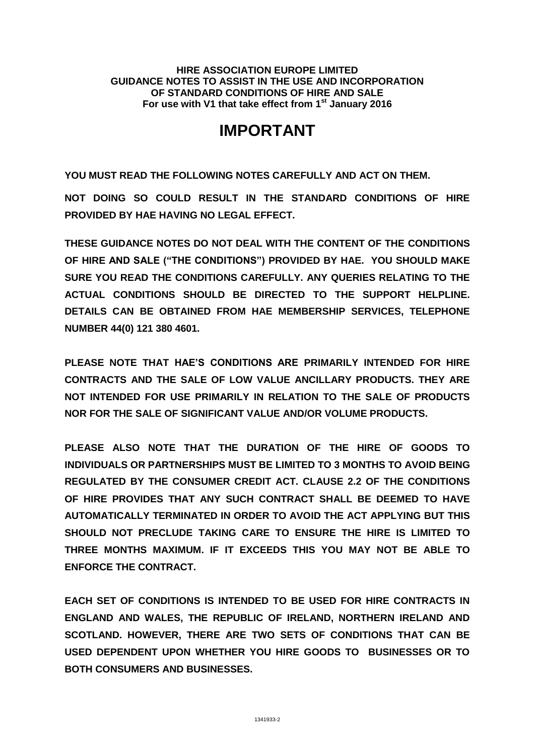**HIRE ASSOCIATION EUROPE LIMITED GUIDANCE NOTES TO ASSIST IN THE USE AND INCORPORATION OF STANDARD CONDITIONS OF HIRE AND SALE For use with V1 that take effect from 1st January 2016**

# **IMPORTANT**

**YOU MUST READ THE FOLLOWING NOTES CAREFULLY AND ACT ON THEM.**

**NOT DOING SO COULD RESULT IN THE STANDARD CONDITIONS OF HIRE PROVIDED BY HAE HAVING NO LEGAL EFFECT.**

**THESE GUIDANCE NOTES DO NOT DEAL WITH THE CONTENT OF THE CONDITIONS OF HIRE AND SALE ("THE CONDITIONS") PROVIDED BY HAE. YOU SHOULD MAKE SURE YOU READ THE CONDITIONS CAREFULLY. ANY QUERIES RELATING TO THE ACTUAL CONDITIONS SHOULD BE DIRECTED TO THE SUPPORT HELPLINE. DETAILS CAN BE OBTAINED FROM HAE MEMBERSHIP SERVICES, TELEPHONE NUMBER 44(0) 121 380 4601.**

**PLEASE NOTE THAT HAE'S CONDITIONS ARE PRIMARILY INTENDED FOR HIRE CONTRACTS AND THE SALE OF LOW VALUE ANCILLARY PRODUCTS. THEY ARE NOT INTENDED FOR USE PRIMARILY IN RELATION TO THE SALE OF PRODUCTS NOR FOR THE SALE OF SIGNIFICANT VALUE AND/OR VOLUME PRODUCTS.**

**PLEASE ALSO NOTE THAT THE DURATION OF THE HIRE OF GOODS TO INDIVIDUALS OR PARTNERSHIPS MUST BE LIMITED TO 3 MONTHS TO AVOID BEING REGULATED BY THE CONSUMER CREDIT ACT. CLAUSE 2.2 OF THE CONDITIONS OF HIRE PROVIDES THAT ANY SUCH CONTRACT SHALL BE DEEMED TO HAVE AUTOMATICALLY TERMINATED IN ORDER TO AVOID THE ACT APPLYING BUT THIS SHOULD NOT PRECLUDE TAKING CARE TO ENSURE THE HIRE IS LIMITED TO THREE MONTHS MAXIMUM. IF IT EXCEEDS THIS YOU MAY NOT BE ABLE TO ENFORCE THE CONTRACT.**

**EACH SET OF CONDITIONS IS INTENDED TO BE USED FOR HIRE CONTRACTS IN ENGLAND AND WALES, THE REPUBLIC OF IRELAND, NORTHERN IRELAND AND SCOTLAND. HOWEVER, THERE ARE TWO SETS OF CONDITIONS THAT CAN BE USED DEPENDENT UPON WHETHER YOU HIRE GOODS TO BUSINESSES OR TO BOTH CONSUMERS AND BUSINESSES.**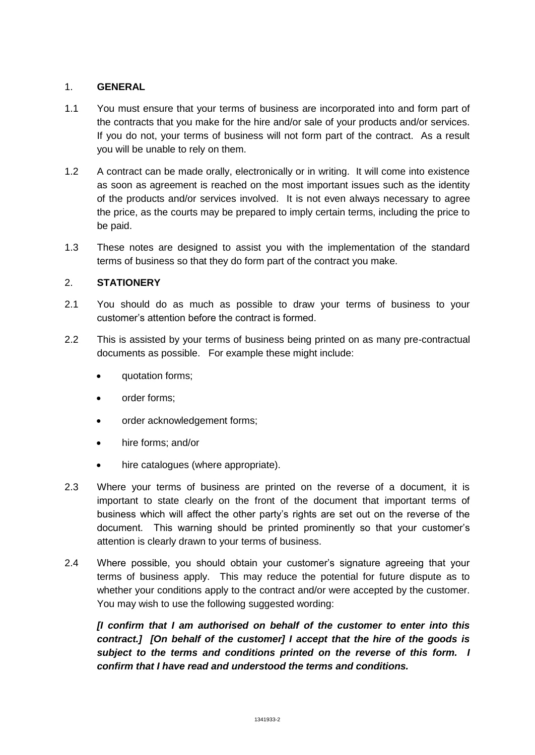# 1. **GENERAL**

- 1.1 You must ensure that your terms of business are incorporated into and form part of the contracts that you make for the hire and/or sale of your products and/or services. If you do not, your terms of business will not form part of the contract. As a result you will be unable to rely on them.
- 1.2 A contract can be made orally, electronically or in writing. It will come into existence as soon as agreement is reached on the most important issues such as the identity of the products and/or services involved. It is not even always necessary to agree the price, as the courts may be prepared to imply certain terms, including the price to be paid.
- 1.3 These notes are designed to assist you with the implementation of the standard terms of business so that they do form part of the contract you make.

# 2. **STATIONERY**

- 2.1 You should do as much as possible to draw your terms of business to your customer's attention before the contract is formed.
- 2.2 This is assisted by your terms of business being printed on as many pre-contractual documents as possible. For example these might include:
	- quotation forms;
	- order forms;
	- order acknowledgement forms;
	- hire forms; and/or
	- hire catalogues (where appropriate).
- 2.3 Where your terms of business are printed on the reverse of a document, it is important to state clearly on the front of the document that important terms of business which will affect the other party's rights are set out on the reverse of the document. This warning should be printed prominently so that your customer's attention is clearly drawn to your terms of business.
- 2.4 Where possible, you should obtain your customer's signature agreeing that your terms of business apply. This may reduce the potential for future dispute as to whether your conditions apply to the contract and/or were accepted by the customer. You may wish to use the following suggested wording:

*[I confirm that I am authorised on behalf of the customer to enter into this contract.] [On behalf of the customer] I accept that the hire of the goods is subject to the terms and conditions printed on the reverse of this form. I confirm that I have read and understood the terms and conditions.*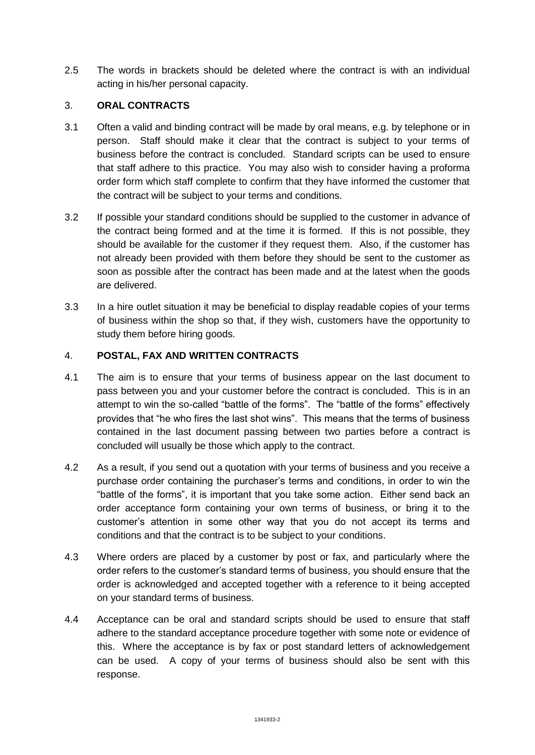2.5 The words in brackets should be deleted where the contract is with an individual acting in his/her personal capacity.

## 3. **ORAL CONTRACTS**

- 3.1 Often a valid and binding contract will be made by oral means, e.g. by telephone or in person. Staff should make it clear that the contract is subject to your terms of business before the contract is concluded. Standard scripts can be used to ensure that staff adhere to this practice. You may also wish to consider having a proforma order form which staff complete to confirm that they have informed the customer that the contract will be subject to your terms and conditions.
- 3.2 If possible your standard conditions should be supplied to the customer in advance of the contract being formed and at the time it is formed. If this is not possible, they should be available for the customer if they request them. Also, if the customer has not already been provided with them before they should be sent to the customer as soon as possible after the contract has been made and at the latest when the goods are delivered.
- 3.3 In a hire outlet situation it may be beneficial to display readable copies of your terms of business within the shop so that, if they wish, customers have the opportunity to study them before hiring goods.

## 4. **POSTAL, FAX AND WRITTEN CONTRACTS**

- 4.1 The aim is to ensure that your terms of business appear on the last document to pass between you and your customer before the contract is concluded. This is in an attempt to win the so-called "battle of the forms". The "battle of the forms" effectively provides that "he who fires the last shot wins". This means that the terms of business contained in the last document passing between two parties before a contract is concluded will usually be those which apply to the contract.
- 4.2 As a result, if you send out a quotation with your terms of business and you receive a purchase order containing the purchaser's terms and conditions, in order to win the "battle of the forms", it is important that you take some action. Either send back an order acceptance form containing your own terms of business, or bring it to the customer's attention in some other way that you do not accept its terms and conditions and that the contract is to be subject to your conditions.
- 4.3 Where orders are placed by a customer by post or fax, and particularly where the order refers to the customer's standard terms of business, you should ensure that the order is acknowledged and accepted together with a reference to it being accepted on your standard terms of business.
- 4.4 Acceptance can be oral and standard scripts should be used to ensure that staff adhere to the standard acceptance procedure together with some note or evidence of this. Where the acceptance is by fax or post standard letters of acknowledgement can be used. A copy of your terms of business should also be sent with this response.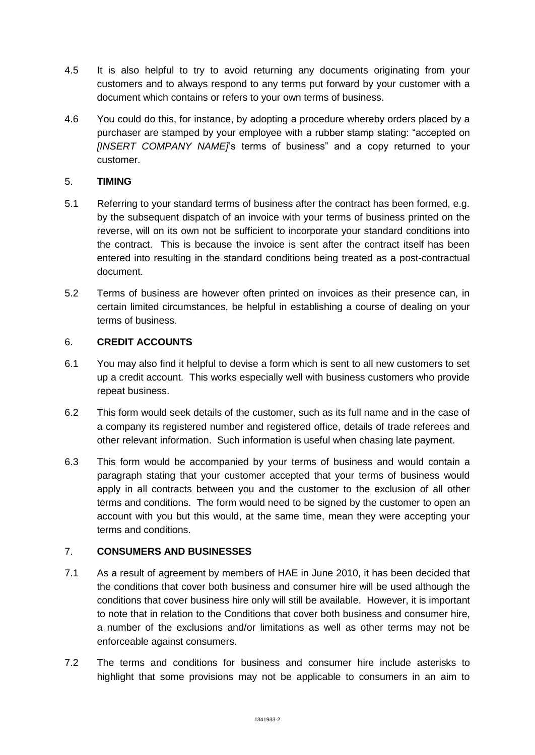- 4.5 It is also helpful to try to avoid returning any documents originating from your customers and to always respond to any terms put forward by your customer with a document which contains or refers to your own terms of business.
- 4.6 You could do this, for instance, by adopting a procedure whereby orders placed by a purchaser are stamped by your employee with a rubber stamp stating: "accepted on *[INSERT COMPANY NAME]*'s terms of business" and a copy returned to your customer.

# 5. **TIMING**

- 5.1 Referring to your standard terms of business after the contract has been formed, e.g. by the subsequent dispatch of an invoice with your terms of business printed on the reverse, will on its own not be sufficient to incorporate your standard conditions into the contract. This is because the invoice is sent after the contract itself has been entered into resulting in the standard conditions being treated as a post-contractual document.
- 5.2 Terms of business are however often printed on invoices as their presence can, in certain limited circumstances, be helpful in establishing a course of dealing on your terms of business.

## 6. **CREDIT ACCOUNTS**

- 6.1 You may also find it helpful to devise a form which is sent to all new customers to set up a credit account. This works especially well with business customers who provide repeat business.
- 6.2 This form would seek details of the customer, such as its full name and in the case of a company its registered number and registered office, details of trade referees and other relevant information. Such information is useful when chasing late payment.
- 6.3 This form would be accompanied by your terms of business and would contain a paragraph stating that your customer accepted that your terms of business would apply in all contracts between you and the customer to the exclusion of all other terms and conditions. The form would need to be signed by the customer to open an account with you but this would, at the same time, mean they were accepting your terms and conditions.

#### 7. **CONSUMERS AND BUSINESSES**

- 7.1 As a result of agreement by members of HAE in June 2010, it has been decided that the conditions that cover both business and consumer hire will be used although the conditions that cover business hire only will still be available. However, it is important to note that in relation to the Conditions that cover both business and consumer hire, a number of the exclusions and/or limitations as well as other terms may not be enforceable against consumers.
- 7.2 The terms and conditions for business and consumer hire include asterisks to highlight that some provisions may not be applicable to consumers in an aim to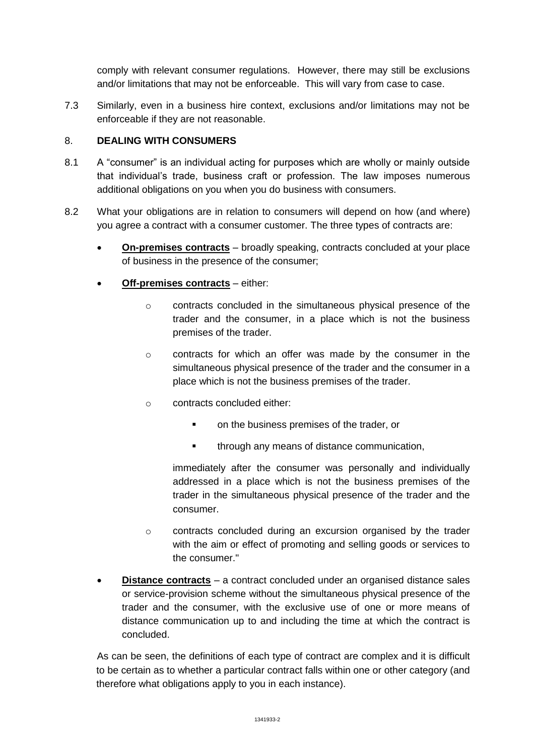comply with relevant consumer regulations. However, there may still be exclusions and/or limitations that may not be enforceable. This will vary from case to case.

7.3 Similarly, even in a business hire context, exclusions and/or limitations may not be enforceable if they are not reasonable.

# 8. **DEALING WITH CONSUMERS**

- 8.1 A "consumer" is an individual acting for purposes which are wholly or mainly outside that individual's trade, business craft or profession. The law imposes numerous additional obligations on you when you do business with consumers.
- 8.2 What your obligations are in relation to consumers will depend on how (and where) you agree a contract with a consumer customer. The three types of contracts are:
	- **On-premises contracts** broadly speaking, contracts concluded at your place of business in the presence of the consumer;
	- **Off-premises contracts** either:
		- o contracts concluded in the simultaneous physical presence of the trader and the consumer, in a place which is not the business premises of the trader.
		- o contracts for which an offer was made by the consumer in the simultaneous physical presence of the trader and the consumer in a place which is not the business premises of the trader.
		- o contracts concluded either:
			- **•** on the business premises of the trader, or
			- **through any means of distance communication,**

immediately after the consumer was personally and individually addressed in a place which is not the business premises of the trader in the simultaneous physical presence of the trader and the consumer.

- $\circ$  contracts concluded during an excursion organised by the trader with the aim or effect of promoting and selling goods or services to the consumer."
- **Distance contracts** a contract concluded under an organised distance sales or service-provision scheme without the simultaneous physical presence of the trader and the consumer, with the exclusive use of one or more means of distance communication up to and including the time at which the contract is concluded.

As can be seen, the definitions of each type of contract are complex and it is difficult to be certain as to whether a particular contract falls within one or other category (and therefore what obligations apply to you in each instance).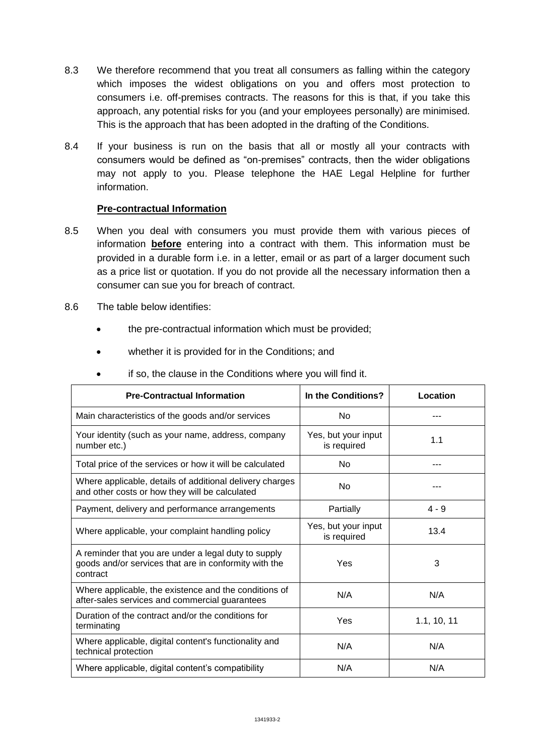- 8.3 We therefore recommend that you treat all consumers as falling within the category which imposes the widest obligations on you and offers most protection to consumers i.e. off-premises contracts. The reasons for this is that, if you take this approach, any potential risks for you (and your employees personally) are minimised. This is the approach that has been adopted in the drafting of the Conditions.
- 8.4 If your business is run on the basis that all or mostly all your contracts with consumers would be defined as "on-premises" contracts, then the wider obligations may not apply to you. Please telephone the HAE Legal Helpline for further information.

#### **Pre-contractual Information**

- 8.5 When you deal with consumers you must provide them with various pieces of information **before** entering into a contract with them. This information must be provided in a durable form i.e. in a letter, email or as part of a larger document such as a price list or quotation. If you do not provide all the necessary information then a consumer can sue you for breach of contract.
- 8.6 The table below identifies:
	- the pre-contractual information which must be provided;
	- whether it is provided for in the Conditions; and

| <b>Pre-Contractual Information</b>                                                                                        | In the Conditions?                 | Location    |
|---------------------------------------------------------------------------------------------------------------------------|------------------------------------|-------------|
| Main characteristics of the goods and/or services                                                                         | <b>No</b>                          |             |
| Your identity (such as your name, address, company<br>number etc.)                                                        | Yes, but your input<br>is required | 1.1         |
| Total price of the services or how it will be calculated                                                                  | N <sub>o</sub>                     |             |
| Where applicable, details of additional delivery charges<br>and other costs or how they will be calculated                | No                                 |             |
| Payment, delivery and performance arrangements                                                                            | Partially                          | $4 - 9$     |
| Where applicable, your complaint handling policy                                                                          | Yes, but your input<br>is required | 13.4        |
| A reminder that you are under a legal duty to supply<br>goods and/or services that are in conformity with the<br>contract | Yes                                | 3           |
| Where applicable, the existence and the conditions of<br>after-sales services and commercial guarantees                   | N/A                                | N/A         |
| Duration of the contract and/or the conditions for<br>terminating                                                         | Yes                                | 1.1, 10, 11 |
| Where applicable, digital content's functionality and<br>technical protection                                             | N/A                                | N/A         |
| Where applicable, digital content's compatibility                                                                         | N/A                                | N/A         |

if so, the clause in the Conditions where you will find it.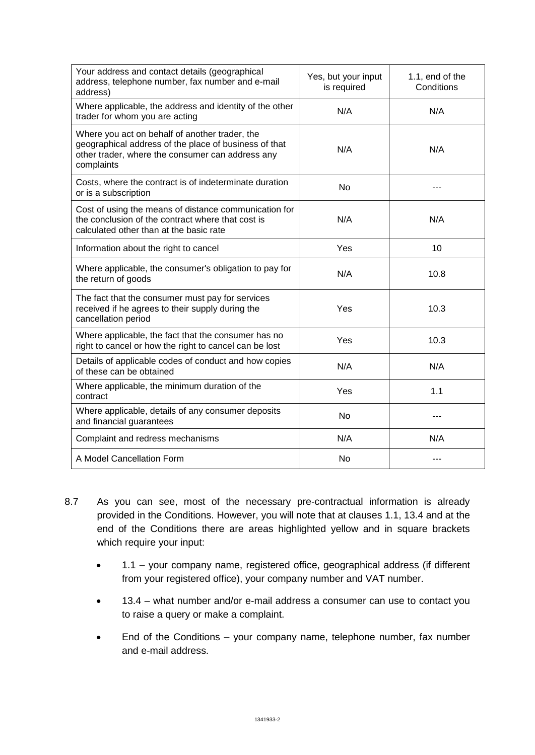| Your address and contact details (geographical<br>address, telephone number, fax number and e-mail<br>address)                                                            | Yes, but your input<br>is required | 1.1, end of the<br>Conditions |
|---------------------------------------------------------------------------------------------------------------------------------------------------------------------------|------------------------------------|-------------------------------|
| Where applicable, the address and identity of the other<br>trader for whom you are acting                                                                                 | N/A                                | N/A                           |
| Where you act on behalf of another trader, the<br>geographical address of the place of business of that<br>other trader, where the consumer can address any<br>complaints | N/A                                | N/A                           |
| Costs, where the contract is of indeterminate duration<br>or is a subscription                                                                                            | <b>No</b>                          |                               |
| Cost of using the means of distance communication for<br>the conclusion of the contract where that cost is<br>calculated other than at the basic rate                     | N/A                                | N/A                           |
| Information about the right to cancel                                                                                                                                     | Yes                                | 10                            |
| Where applicable, the consumer's obligation to pay for<br>the return of goods                                                                                             | N/A                                | 10.8                          |
| The fact that the consumer must pay for services<br>received if he agrees to their supply during the<br>cancellation period                                               | Yes                                | 10.3                          |
| Where applicable, the fact that the consumer has no<br>right to cancel or how the right to cancel can be lost                                                             | Yes                                | 10.3                          |
| Details of applicable codes of conduct and how copies<br>of these can be obtained                                                                                         | N/A                                | N/A                           |
| Where applicable, the minimum duration of the<br>contract                                                                                                                 | Yes                                | 1.1                           |
| Where applicable, details of any consumer deposits<br>and financial guarantees                                                                                            | <b>No</b>                          |                               |
| Complaint and redress mechanisms                                                                                                                                          | N/A                                | N/A                           |
| A Model Cancellation Form                                                                                                                                                 | <b>No</b>                          |                               |

- 8.7 As you can see, most of the necessary pre-contractual information is already provided in the Conditions. However, you will note that at clauses 1.1, 13.4 and at the end of the Conditions there are areas highlighted yellow and in square brackets which require your input:
	- 1.1 your company name, registered office, geographical address (if different from your registered office), your company number and VAT number.
	- 13.4 what number and/or e-mail address a consumer can use to contact you to raise a query or make a complaint.
	- End of the Conditions your company name, telephone number, fax number and e-mail address.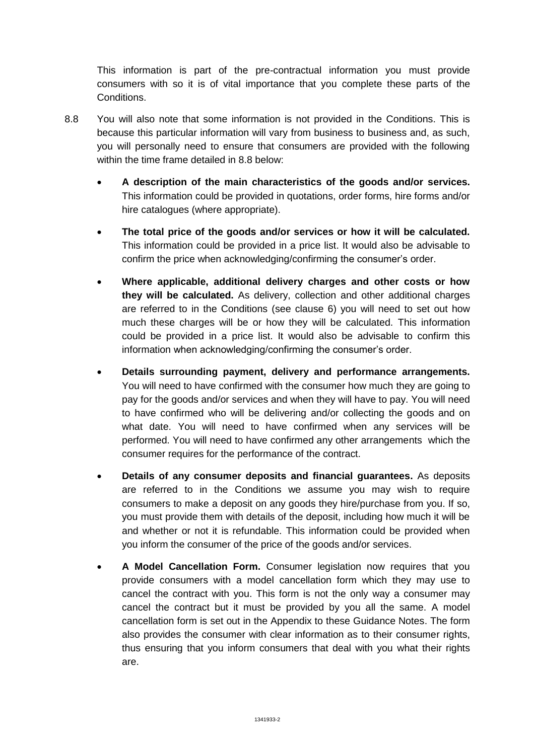This information is part of the pre-contractual information you must provide consumers with so it is of vital importance that you complete these parts of the Conditions.

- 8.8 You will also note that some information is not provided in the Conditions. This is because this particular information will vary from business to business and, as such, you will personally need to ensure that consumers are provided with the following within the time frame detailed in 8.8 below:
	- **A description of the main characteristics of the goods and/or services.** This information could be provided in quotations, order forms, hire forms and/or hire catalogues (where appropriate).
	- **The total price of the goods and/or services or how it will be calculated.** This information could be provided in a price list. It would also be advisable to confirm the price when acknowledging/confirming the consumer's order.
	- **Where applicable, additional delivery charges and other costs or how they will be calculated.** As delivery, collection and other additional charges are referred to in the Conditions (see clause 6) you will need to set out how much these charges will be or how they will be calculated. This information could be provided in a price list. It would also be advisable to confirm this information when acknowledging/confirming the consumer's order.
	- **Details surrounding payment, delivery and performance arrangements.**  You will need to have confirmed with the consumer how much they are going to pay for the goods and/or services and when they will have to pay. You will need to have confirmed who will be delivering and/or collecting the goods and on what date. You will need to have confirmed when any services will be performed. You will need to have confirmed any other arrangements which the consumer requires for the performance of the contract.
	- **Details of any consumer deposits and financial guarantees.** As deposits are referred to in the Conditions we assume you may wish to require consumers to make a deposit on any goods they hire/purchase from you. If so, you must provide them with details of the deposit, including how much it will be and whether or not it is refundable. This information could be provided when you inform the consumer of the price of the goods and/or services.
	- **A Model Cancellation Form.** Consumer legislation now requires that you provide consumers with a model cancellation form which they may use to cancel the contract with you. This form is not the only way a consumer may cancel the contract but it must be provided by you all the same. A model cancellation form is set out in the Appendix to these Guidance Notes. The form also provides the consumer with clear information as to their consumer rights, thus ensuring that you inform consumers that deal with you what their rights are.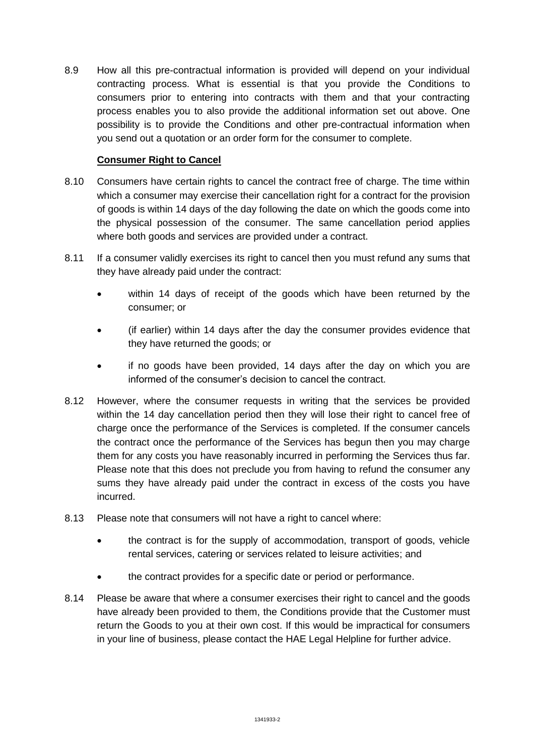8.9 How all this pre-contractual information is provided will depend on your individual contracting process. What is essential is that you provide the Conditions to consumers prior to entering into contracts with them and that your contracting process enables you to also provide the additional information set out above. One possibility is to provide the Conditions and other pre-contractual information when you send out a quotation or an order form for the consumer to complete.

#### **Consumer Right to Cancel**

- 8.10 Consumers have certain rights to cancel the contract free of charge. The time within which a consumer may exercise their cancellation right for a contract for the provision of goods is within 14 days of the day following the date on which the goods come into the physical possession of the consumer. The same cancellation period applies where both goods and services are provided under a contract.
- 8.11 If a consumer validly exercises its right to cancel then you must refund any sums that they have already paid under the contract:
	- within 14 days of receipt of the goods which have been returned by the consumer; or
	- (if earlier) within 14 days after the day the consumer provides evidence that they have returned the goods; or
	- if no goods have been provided, 14 days after the day on which you are informed of the consumer's decision to cancel the contract.
- 8.12 However, where the consumer requests in writing that the services be provided within the 14 day cancellation period then they will lose their right to cancel free of charge once the performance of the Services is completed. If the consumer cancels the contract once the performance of the Services has begun then you may charge them for any costs you have reasonably incurred in performing the Services thus far. Please note that this does not preclude you from having to refund the consumer any sums they have already paid under the contract in excess of the costs you have incurred.
- 8.13 Please note that consumers will not have a right to cancel where:
	- the contract is for the supply of accommodation, transport of goods, vehicle rental services, catering or services related to leisure activities; and
	- the contract provides for a specific date or period or performance.
- 8.14 Please be aware that where a consumer exercises their right to cancel and the goods have already been provided to them, the Conditions provide that the Customer must return the Goods to you at their own cost. If this would be impractical for consumers in your line of business, please contact the HAE Legal Helpline for further advice.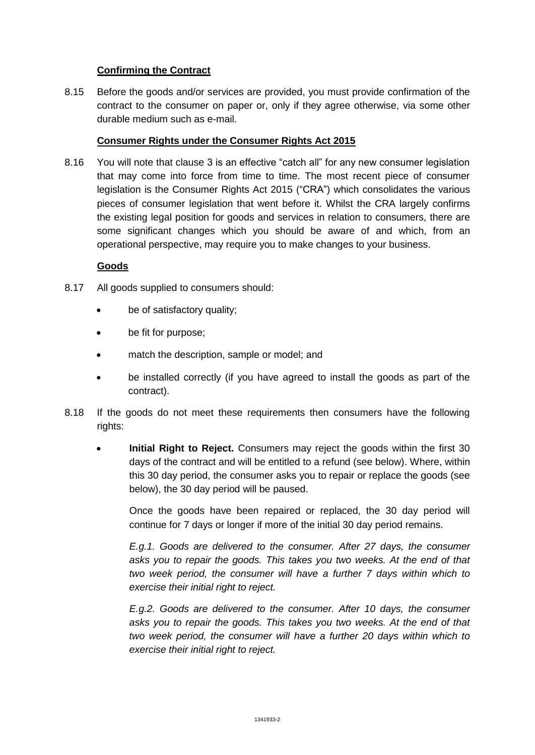## **Confirming the Contract**

8.15 Before the goods and/or services are provided, you must provide confirmation of the contract to the consumer on paper or, only if they agree otherwise, via some other durable medium such as e-mail.

#### **Consumer Rights under the Consumer Rights Act 2015**

8.16 You will note that clause 3 is an effective "catch all" for any new consumer legislation that may come into force from time to time. The most recent piece of consumer legislation is the Consumer Rights Act 2015 ("CRA") which consolidates the various pieces of consumer legislation that went before it. Whilst the CRA largely confirms the existing legal position for goods and services in relation to consumers, there are some significant changes which you should be aware of and which, from an operational perspective, may require you to make changes to your business.

## **Goods**

- 8.17 All goods supplied to consumers should:
	- be of satisfactory quality;
	- be fit for purpose;
	- match the description, sample or model; and
	- be installed correctly (if you have agreed to install the goods as part of the contract).
- 8.18 If the goods do not meet these requirements then consumers have the following rights:
	- **Initial Right to Reject.** Consumers may reject the goods within the first 30 days of the contract and will be entitled to a refund (see below). Where, within this 30 day period, the consumer asks you to repair or replace the goods (see below), the 30 day period will be paused.

Once the goods have been repaired or replaced, the 30 day period will continue for 7 days or longer if more of the initial 30 day period remains.

*E.g.1. Goods are delivered to the consumer. After 27 days, the consumer asks you to repair the goods. This takes you two weeks. At the end of that two week period, the consumer will have a further 7 days within which to exercise their initial right to reject.*

*E.g.2. Goods are delivered to the consumer. After 10 days, the consumer asks you to repair the goods. This takes you two weeks. At the end of that two week period, the consumer will have a further 20 days within which to exercise their initial right to reject.*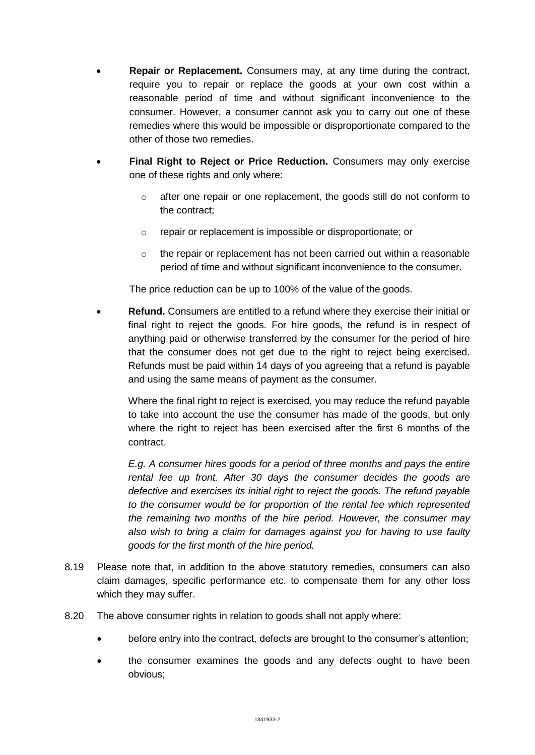- **Repair or Replacement.** Consumers may, at any time during the contract, require you to repair or replace the goods at your own cost within a reasonable period of time and without significant inconvenience to the consumer. However, a consumer cannot ask you to carry out one of these remedies where this would be impossible or disproportionate compared to the other of those two remedies.
- **Final Right to Reject or Price Reduction.** Consumers may only exercise one of these rights and only where:
	- o after one repair or one replacement, the goods still do not conform to the contract;
	- o repair or replacement is impossible or disproportionate; or
	- $\circ$  the repair or replacement has not been carried out within a reasonable period of time and without significant inconvenience to the consumer.

The price reduction can be up to 100% of the value of the goods.

 **Refund.** Consumers are entitled to a refund where they exercise their initial or final right to reject the goods. For hire goods, the refund is in respect of anything paid or otherwise transferred by the consumer for the period of hire that the consumer does not get due to the right to reject being exercised. Refunds must be paid within 14 days of you agreeing that a refund is payable and using the same means of payment as the consumer.

Where the final right to reject is exercised, you may reduce the refund payable to take into account the use the consumer has made of the goods, but only where the right to reject has been exercised after the first 6 months of the contract.

*E.g. A consumer hires goods for a period of three months and pays the entire rental fee up front. After 30 days the consumer decides the goods are defective and exercises its initial right to reject the goods. The refund payable to the consumer would be for proportion of the rental fee which represented the remaining two months of the hire period. However, the consumer may also wish to bring a claim for damages against you for having to use faulty goods for the first month of the hire period.*

- 8.19 Please note that, in addition to the above statutory remedies, consumers can also claim damages, specific performance etc. to compensate them for any other loss which they may suffer.
- 8.20 The above consumer rights in relation to goods shall not apply where:
	- before entry into the contract, defects are brought to the consumer's attention;
	- the consumer examines the goods and any defects ought to have been obvious;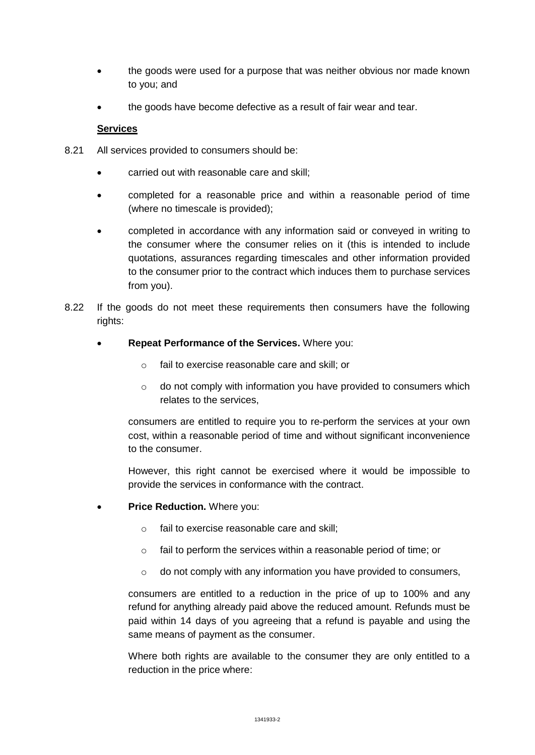- the goods were used for a purpose that was neither obvious nor made known to you; and
- the goods have become defective as a result of fair wear and tear.

#### **Services**

- 8.21 All services provided to consumers should be:
	- carried out with reasonable care and skill;
	- completed for a reasonable price and within a reasonable period of time (where no timescale is provided);
	- completed in accordance with any information said or conveyed in writing to the consumer where the consumer relies on it (this is intended to include quotations, assurances regarding timescales and other information provided to the consumer prior to the contract which induces them to purchase services from you).
- 8.22 If the goods do not meet these requirements then consumers have the following rights:
	- **Repeat Performance of the Services.** Where you:
		- o fail to exercise reasonable care and skill; or
		- o do not comply with information you have provided to consumers which relates to the services,

consumers are entitled to require you to re-perform the services at your own cost, within a reasonable period of time and without significant inconvenience to the consumer.

However, this right cannot be exercised where it would be impossible to provide the services in conformance with the contract.

- **Price Reduction.** Where you:
	- o fail to exercise reasonable care and skill;
	- o fail to perform the services within a reasonable period of time; or
	- o do not comply with any information you have provided to consumers,

consumers are entitled to a reduction in the price of up to 100% and any refund for anything already paid above the reduced amount. Refunds must be paid within 14 days of you agreeing that a refund is payable and using the same means of payment as the consumer.

Where both rights are available to the consumer they are only entitled to a reduction in the price where: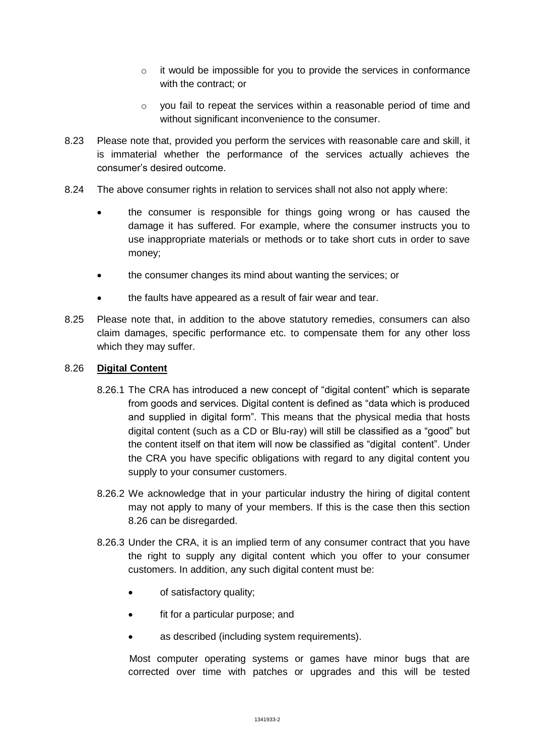- o it would be impossible for you to provide the services in conformance with the contract; or
- o you fail to repeat the services within a reasonable period of time and without significant inconvenience to the consumer.
- 8.23 Please note that, provided you perform the services with reasonable care and skill, it is immaterial whether the performance of the services actually achieves the consumer's desired outcome.
- 8.24 The above consumer rights in relation to services shall not also not apply where:
	- the consumer is responsible for things going wrong or has caused the damage it has suffered. For example, where the consumer instructs you to use inappropriate materials or methods or to take short cuts in order to save money;
	- the consumer changes its mind about wanting the services; or
	- the faults have appeared as a result of fair wear and tear.
- 8.25 Please note that, in addition to the above statutory remedies, consumers can also claim damages, specific performance etc. to compensate them for any other loss which they may suffer.

## 8.26 **Digital Content**

- 8.26.1 The CRA has introduced a new concept of "digital content" which is separate from goods and services. Digital content is defined as "data which is produced and supplied in digital form". This means that the physical media that hosts digital content (such as a CD or Blu-ray) will still be classified as a "good" but the content itself on that item will now be classified as "digital content". Under the CRA you have specific obligations with regard to any digital content you supply to your consumer customers.
- 8.26.2 We acknowledge that in your particular industry the hiring of digital content may not apply to many of your members. If this is the case then this section 8.26 can be disregarded.
- 8.26.3 Under the CRA, it is an implied term of any consumer contract that you have the right to supply any digital content which you offer to your consumer customers. In addition, any such digital content must be:
	- of satisfactory quality;
	- fit for a particular purpose; and
	- as described (including system requirements).

Most computer operating systems or games have minor bugs that are corrected over time with patches or upgrades and this will be tested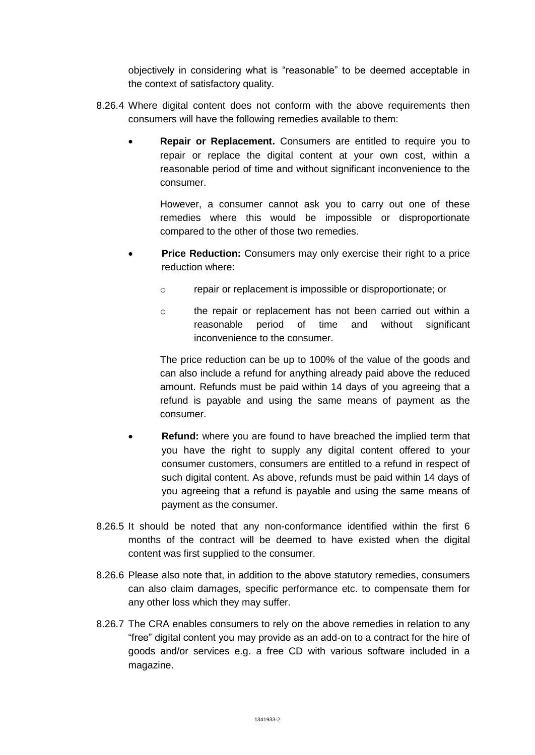objectively in considering what is "reasonable" to be deemed acceptable in the context of satisfactory quality.

- 8.26.4 Where digital content does not conform with the above requirements then consumers will have the following remedies available to them:
	- **Repair or Replacement.** Consumers are entitled to require you to repair or replace the digital content at your own cost, within a reasonable period of time and without significant inconvenience to the consumer.

However, a consumer cannot ask you to carry out one of these remedies where this would be impossible or disproportionate compared to the other of those two remedies.

- **Price Reduction:** Consumers may only exercise their right to a price reduction where:
	- o repair or replacement is impossible or disproportionate; or
	- o the repair or replacement has not been carried out within a reasonable period of time and without significant inconvenience to the consumer.

The price reduction can be up to 100% of the value of the goods and can also include a refund for anything already paid above the reduced amount. Refunds must be paid within 14 days of you agreeing that a refund is payable and using the same means of payment as the consumer.

- **Refund:** where you are found to have breached the implied term that you have the right to supply any digital content offered to your consumer customers, consumers are entitled to a refund in respect of such digital content. As above, refunds must be paid within 14 days of you agreeing that a refund is payable and using the same means of payment as the consumer.
- 8.26.5 It should be noted that any non-conformance identified within the first 6 months of the contract will be deemed to have existed when the digital content was first supplied to the consumer.
- 8.26.6 Please also note that, in addition to the above statutory remedies, consumers can also claim damages, specific performance etc. to compensate them for any other loss which they may suffer.
- 8.26.7 The CRA enables consumers to rely on the above remedies in relation to any "free" digital content you may provide as an add-on to a contract for the hire of goods and/or services e.g. a free CD with various software included in a magazine.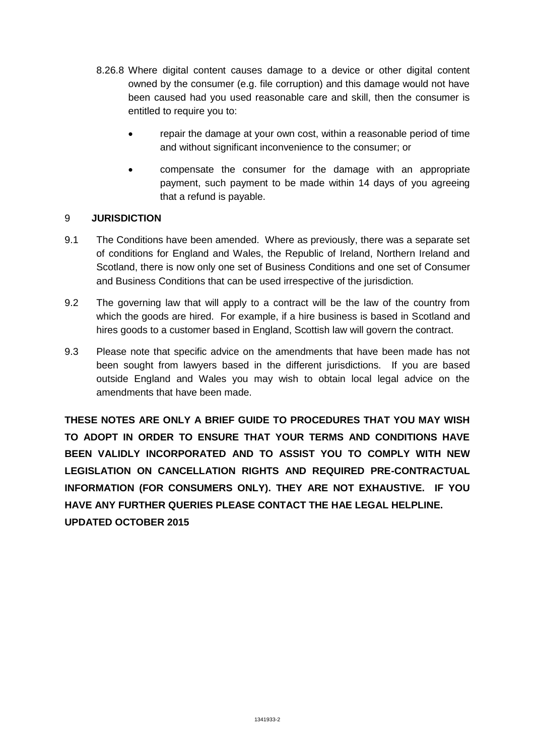- 8.26.8 Where digital content causes damage to a device or other digital content owned by the consumer (e.g. file corruption) and this damage would not have been caused had you used reasonable care and skill, then the consumer is entitled to require you to:
	- repair the damage at your own cost, within a reasonable period of time and without significant inconvenience to the consumer; or
	- compensate the consumer for the damage with an appropriate payment, such payment to be made within 14 days of you agreeing that a refund is payable.

# 9 **JURISDICTION**

- 9.1 The Conditions have been amended. Where as previously, there was a separate set of conditions for England and Wales, the Republic of Ireland, Northern Ireland and Scotland, there is now only one set of Business Conditions and one set of Consumer and Business Conditions that can be used irrespective of the jurisdiction.
- 9.2 The governing law that will apply to a contract will be the law of the country from which the goods are hired. For example, if a hire business is based in Scotland and hires goods to a customer based in England, Scottish law will govern the contract.
- 9.3 Please note that specific advice on the amendments that have been made has not been sought from lawyers based in the different jurisdictions. If you are based outside England and Wales you may wish to obtain local legal advice on the amendments that have been made.

**THESE NOTES ARE ONLY A BRIEF GUIDE TO PROCEDURES THAT YOU MAY WISH TO ADOPT IN ORDER TO ENSURE THAT YOUR TERMS AND CONDITIONS HAVE BEEN VALIDLY INCORPORATED AND TO ASSIST YOU TO COMPLY WITH NEW LEGISLATION ON CANCELLATION RIGHTS AND REQUIRED PRE-CONTRACTUAL INFORMATION (FOR CONSUMERS ONLY). THEY ARE NOT EXHAUSTIVE. IF YOU HAVE ANY FURTHER QUERIES PLEASE CONTACT THE HAE LEGAL HELPLINE. UPDATED OCTOBER 2015**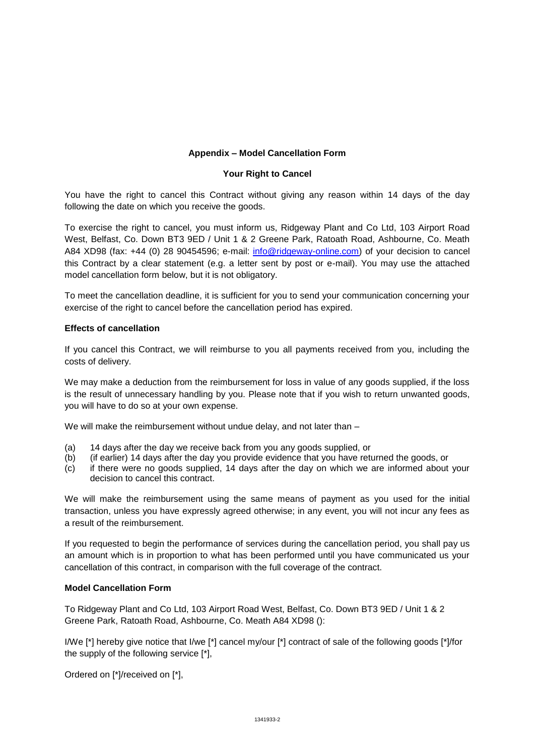#### **Appendix – Model Cancellation Form**

#### **Your Right to Cancel**

You have the right to cancel this Contract without giving any reason within 14 days of the day following the date on which you receive the goods.

To exercise the right to cancel, you must inform us, Ridgeway Plant and Co Ltd, 103 Airport Road West, Belfast, Co. Down BT3 9ED / Unit 1 & 2 Greene Park, Ratoath Road, Ashbourne, Co. Meath A84 XD98 (fax: +44 (0) 28 90454596; e-mail: [info@ridgeway-online.com\)](mailto:info@ridgeway-online.com) of your decision to cancel this Contract by a clear statement (e.g. a letter sent by post or e-mail). You may use the attached model cancellation form below, but it is not obligatory.

To meet the cancellation deadline, it is sufficient for you to send your communication concerning your exercise of the right to cancel before the cancellation period has expired.

#### **Effects of cancellation**

If you cancel this Contract, we will reimburse to you all payments received from you, including the costs of delivery.

We may make a deduction from the reimbursement for loss in value of any goods supplied, if the loss is the result of unnecessary handling by you. Please note that if you wish to return unwanted goods, you will have to do so at your own expense.

We will make the reimbursement without undue delay, and not later than -

- (a) 14 days after the day we receive back from you any goods supplied, or
- (b) (if earlier) 14 days after the day you provide evidence that you have returned the goods, or
- (c) if there were no goods supplied, 14 days after the day on which we are informed about your decision to cancel this contract.

We will make the reimbursement using the same means of payment as you used for the initial transaction, unless you have expressly agreed otherwise; in any event, you will not incur any fees as a result of the reimbursement.

If you requested to begin the performance of services during the cancellation period, you shall pay us an amount which is in proportion to what has been performed until you have communicated us your cancellation of this contract, in comparison with the full coverage of the contract.

#### **Model Cancellation Form**

To Ridgeway Plant and Co Ltd, 103 Airport Road West, Belfast, Co. Down BT3 9ED / Unit 1 & 2 Greene Park, Ratoath Road, Ashbourne, Co. Meath A84 XD98 ():

I/We [\*] hereby give notice that I/we [\*] cancel my/our [\*] contract of sale of the following goods [\*]/for the supply of the following service [\*],

Ordered on [\*]/received on [\*],